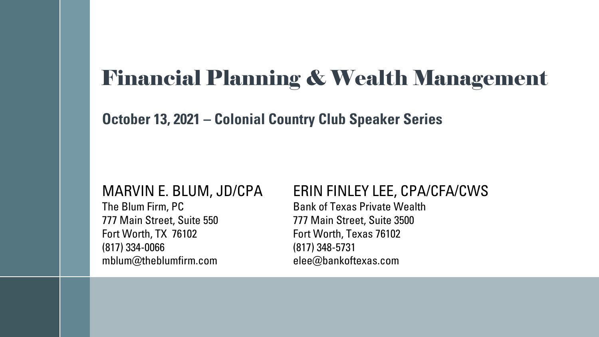## Financial Planning & Wealth Management

**October 13, 2021 – Colonial Country Club Speaker Series** 

777 Main Street, Suite 550 777 Main Street, Suite 3500 Fort Worth, TX 76102 Fort Worth, Texas 76102 (817) 334-0066 (817) 348-5731 mblum@theblumfirm.com elee@bankoftexas.com

#### MARVIN E. BLUM, JD/CPA ERIN FINLEY LEE, CPA/CFA/CWS

The Blum Firm, PC Bank of Texas Private Wealth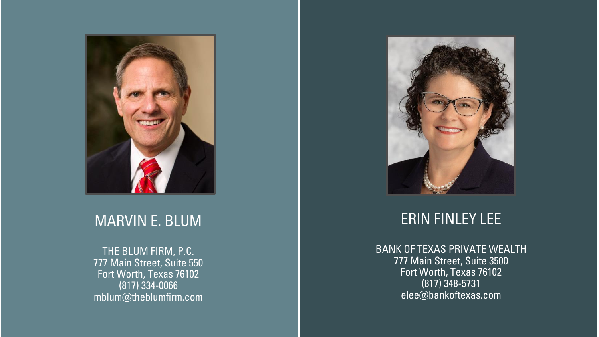

#### MARVIN E. BLUM

THE BLUM FIRM, P.C. 777 Main Street, Suite 550 Fort Worth, Texas 76102 (817) 334 -0066 mblum@theblumfirm.com



#### ERIN FINLEY LEE

BANK OF TEXAS PRIVATE WEALTH 777 Main Street, Suite 3500 Fort Worth, Texas 76102 (817) 348 -5731 elee@bankoftexas.com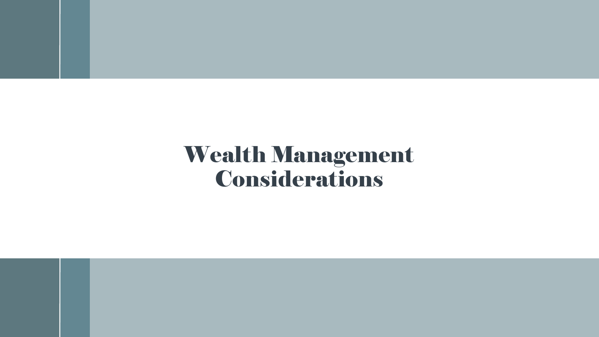# Wealth Management Considerations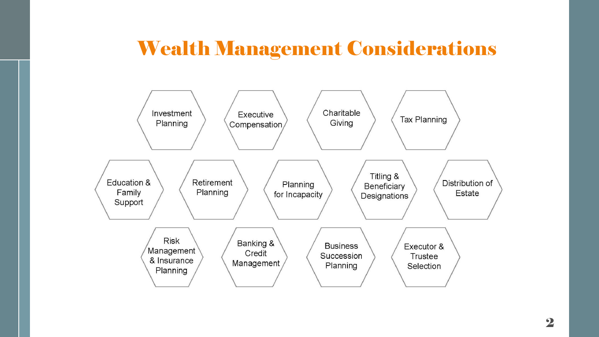#### Wealth Management Considerations

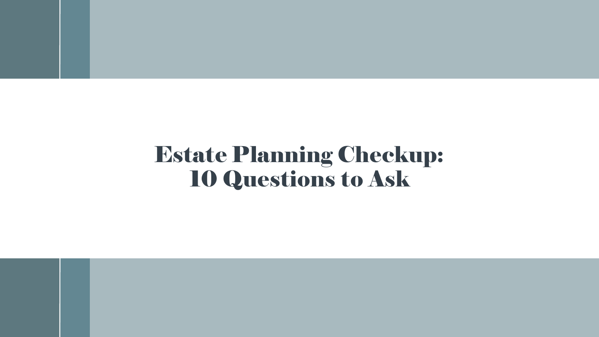# Estate Planning Checkup: 10 Questions to Ask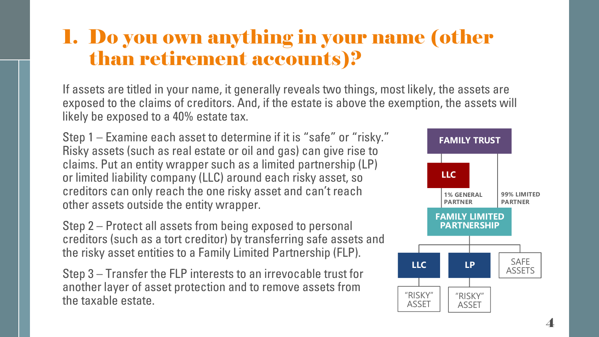#### 1. Do you own anything in your name (other than retirement accounts)?

If assets are titled in your name, it generally reveals two things, most likely, the assets are exposed to the claims of creditors. And, if the estate is above the exemption, the assets will likely be exposed to a 40% estate tax.

Step 1 – Examine each asset to determine if it is "safe" or "risky." Risky assets (such as real estate or oil and gas) can give rise to claims. Put an entity wrapper such as a limited partnership (LP) or limited liability company (LLC) around each risky asset, so creditors can only reach the one risky asset and can't reach other assets outside the entity wrapper.

Step 2 – Protect all assets from being exposed to personal creditors (such as a tort creditor) by transferring safe assets and the risky asset entities to a Family Limited Partnership (FLP).

Step 3 – Transfer the FLP interests to an irrevocable trust for another layer of asset protection and to remove assets from the taxable estate.

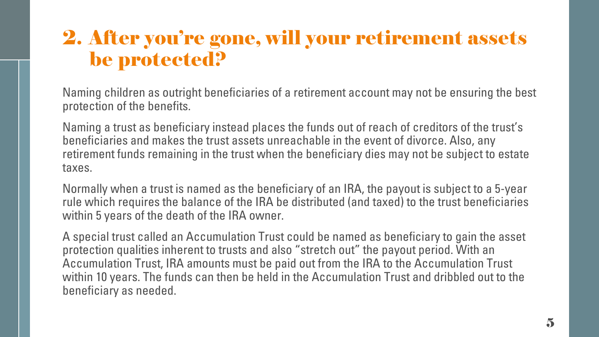#### 2. After you're gone, will your retirement assets be protected?

Naming children as outright beneficiaries of a retirement account may not be ensuring the best protection of the benefits.

Naming a trust as beneficiary instead places the funds out of reach of creditors of the trust's beneficiaries and makes the trust assets unreachable in the event of divorce. Also, any retirement funds remaining in the trust when the beneficiary dies may not be subject to estate taxes.

Normally when a trust is named as the beneficiary of an IRA, the payout is subject to a 5-year rule which requires the balance of the IRA be distributed (and taxed) to the trust beneficiaries within 5 years of the death of the IRA owner.

A special trust called an Accumulation Trust could be named as beneficiary to gain the asset protection qualities inherent to trusts and also "stretch out" the payout period. With an Accumulation Trust, IRA amounts must be paid out from the IRA to the Accumulation Trust within 10 years. The funds can then be held in the Accumulation Trust and dribbled out to the beneficiary as needed.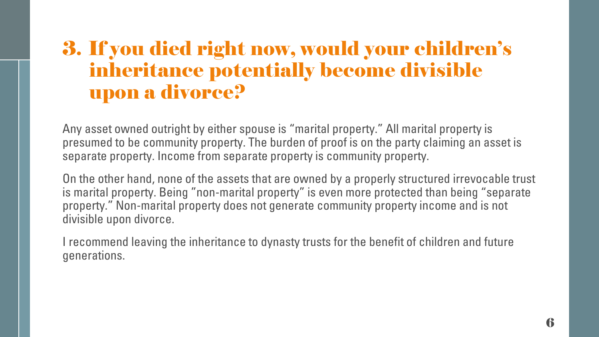#### 3. If you died right now, would your children's inheritance potentially become divisible upon a divorce?

Any asset owned outright by either spouse is "marital property." All marital property is presumed to be community property. The burden of proof is on the party claiming an asset is separate property. Income from separate property is community property.

On the other hand, none of the assets that are owned by a properly structured irrevocable trust is marital property. Being "non-marital property" is even more protected than being "separate property." Non-marital property does not generate community property income and is not divisible upon divorce.

I recommend leaving the inheritance to dynasty trusts for the benefit of children and future generations.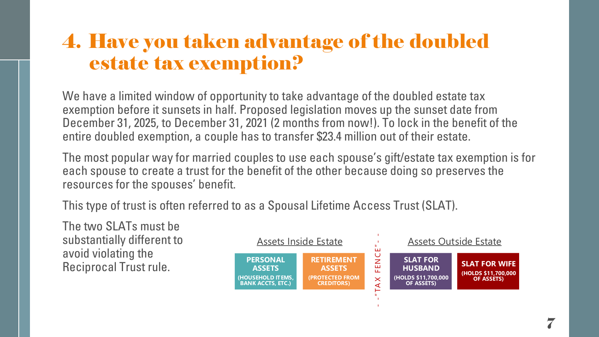#### 4. Have you taken advantage of the doubled estate tax exemption?

We have a limited window of opportunity to take advantage of the doubled estate tax exemption before it sunsets in half. Proposed legislation moves up the sunset date from December 31, 2025, to December 31, 2021 (2 months from now!). To lock in the benefit of the entire doubled exemption, a couple has to transfer \$23.4 million out of their estate.

The most popular way for married couples to use each spouse's gift/estate tax exemption is for each spouse to create a trust for the benefit of the other because doing so preserves the resources for the spouses' benefit.

This type of trust is often referred to as a Spousal Lifetime Access Trust (SLAT).

The two SLATs must be substantially different to avoid violating the Reciprocal Trust rule.

| <b>Assets Inside Estate</b>                                                       |                                                                           |                                   | <b>Assets Outside Estate</b>                                           |                                                                  |
|-----------------------------------------------------------------------------------|---------------------------------------------------------------------------|-----------------------------------|------------------------------------------------------------------------|------------------------------------------------------------------|
| <b>PERSONAL</b><br><b>ASSETS</b><br>(HOUSEHOLD ITEMS,<br><b>BANK ACCTS, ETC.)</b> | <b>RETIREMENT</b><br><b>ASSETS</b><br>(PROTECTED FROM<br><b>CREDITORS</b> | $\cup$<br>z<br>ш<br>ய<br>$\times$ | <b>SLAT FOR</b><br><b>HUSBAND</b><br>(HOLDS \$11,700,000<br>OF ASSETS) | <b>SLAT FOR WIFE</b><br>(HOLDS \$11,700,000<br><b>OF ASSETS)</b> |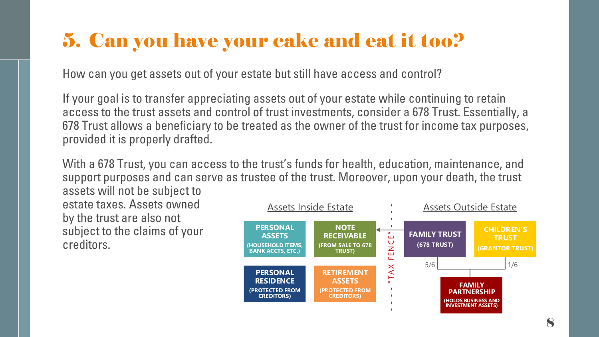## 5. Can you have your cake and eat it too?

How can you get assets out of your estate but still have access and control?

If your goal is to transfer appreciating assets out of your estate while continuing to retain access to the trust assets and control of trust investments, consider a 678 Trust. Essentially, a 678 Trust allows a beneficiary to be treated as the owner of the trust for income tax purposes, provided it is properly drafted.

With a 678 Trust, you can access to the trust's funds for health, education, maintenance, and support purposes and can serve as trustee of the trust. Moreover, upon your death, the trust

assets will not be subject to estate taxes. Assets owned by the trust are also not subject to the claims of your creditors.

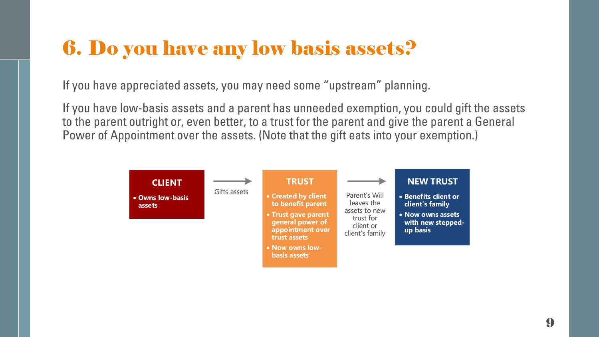## 6. Do you have any low basis assets?

If you have appreciated assets, you may need some "upstream" planning.

If you have low-basis assets and a parent has unneeded exemption, you could gift the assets to the parent outright or, even better, to a trust for the parent and give the parent a General Power of Appointment over the assets. (Note that the gift eats into your exemption.)

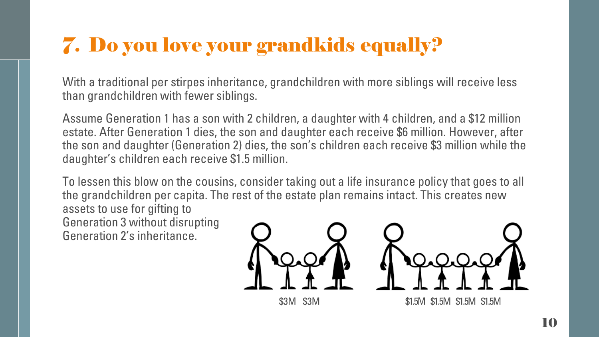# 7. Do you love your grandkids equally?

With a traditional per stirpes inheritance, grandchildren with more siblings will receive less than grandchildren with fewer siblings.

Assume Generation 1 has a son with 2 children, a daughter with 4 children, and a \$12 million estate. After Generation 1 dies, the son and daughter each receive \$6 million. However, after the son and daughter (Generation 2) dies, the son's children each receive \$3 million while the daughter's children each receive \$1.5 million.

To lessen this blow on the cousins, consider taking out a life insurance policy that goes to all the grandchildren per capita. The rest of the estate plan remains intact. This creates new assets to use for gifting to Generation 3 without disrupting Generation 2's inheritance.

\$3M \$3M \$1.5M \$1.5M \$1.5M \$1.5M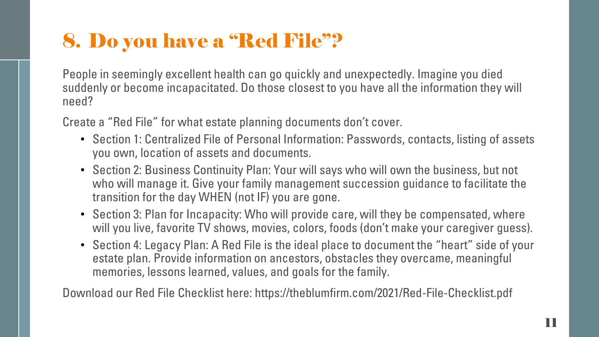## 8. Do you have a "Red File"?

People in seemingly excellent health can go quickly and unexpectedly. Imagine you died suddenly or become incapacitated. Do those closest to you have all the information they will need?

Create a "Red File" for what estate planning documents don't cover.

- Section 1: Centralized File of Personal Information: Passwords, contacts, listing of assets you own, location of assets and documents.
- Section 2: Business Continuity Plan: Your will says who will own the business, but not who will manage it. Give your family management succession guidance to facilitate the transition for the day WHEN (not IF) you are gone.
- Section 3: Plan for Incapacity: Who will provide care, will they be compensated, where will you live, favorite TV shows, movies, colors, foods (don't make your caregiver guess).
- Section 4: Legacy Plan: A Red File is the ideal place to document the "heart" side of your estate plan. Provide information on ancestors, obstacles they overcame, meaningful memories, lessons learned, values, and goals for the family.

Download our Red File Checklist here: https://theblumfirm.com/2021/Red-File-Checklist.pdf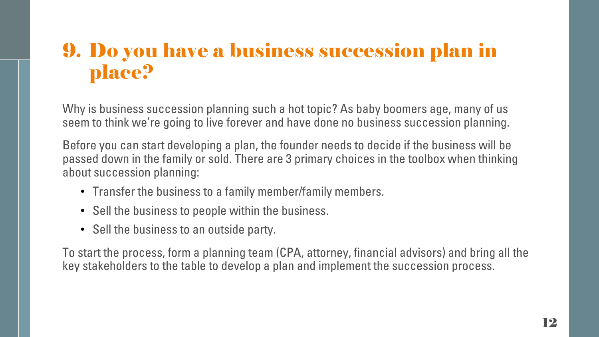## 9. Do you have a business succession plan in place?

Why is business succession planning such a hot topic? As baby boomers age, many of us seem to think we're going to live forever and have done no business succession planning.

Before you can start developing a plan, the founder needs to decide if the business will be passed down in the family or sold. There are 3 primary choices in the toolbox when thinking about succession planning:

- Transfer the business to a family member/family members.
- Sell the business to people within the business.
- Sell the business to an outside party.

To start the process, form a planning team (CPA, attorney, financial advisors) and bring all the key stakeholders to the table to develop a plan and implement the succession process.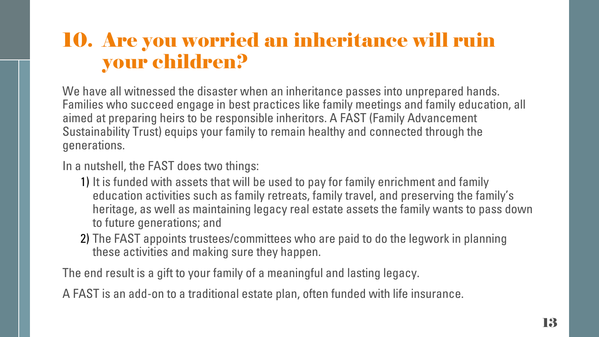## 10. Are you worried an inheritance will ruin your children?

We have all witnessed the disaster when an inheritance passes into unprepared hands. Families who succeed engage in best practices like family meetings and family education, all aimed at preparing heirs to be responsible inheritors. A FAST (Family Advancement Sustainability Trust) equips your family to remain healthy and connected through the generations.

#### In a nutshell, the FAST does two things:

- 1) It is funded with assets that will be used to pay for family enrichment and family education activities such as family retreats, family travel, and preserving the family's heritage, as well as maintaining legacy real estate assets the family wants to pass down to future generations; and
- 2) The FAST appoints trustees/committees who are paid to do the legwork in planning these activities and making sure they happen.

The end result is a gift to your family of a meaningful and lasting legacy.

A FAST is an add-on to a traditional estate plan, often funded with life insurance.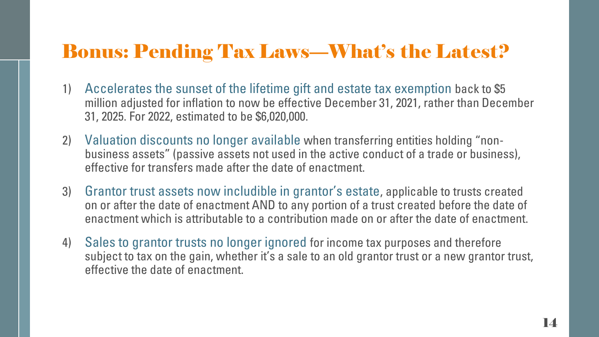#### Bonus: Pending Tax Laws—What's the Latest?

- 1) Accelerates the sunset of the lifetime gift and estate tax exemption back to \$5 million adjusted for inflation to now be effective December 31, 2021, rather than December 31, 2025. For 2022, estimated to be \$6,020,000.
- 2) Valuation discounts no longer available when transferring entities holding "nonbusiness assets" (passive assets not used in the active conduct of a trade or business), effective for transfers made after the date of enactment.
- 3) Grantor trust assets now includible in grantor's estate, applicable to trusts created on or after the date of enactment AND to any portion of a trust created before the date of enactment which is attributable to a contribution made on or after the date of enactment.
- 4) Sales to grantor trusts no longer ignored for income tax purposes and therefore subject to tax on the gain, whether it's a sale to an old grantor trust or a new grantor trust, effective the date of enactment.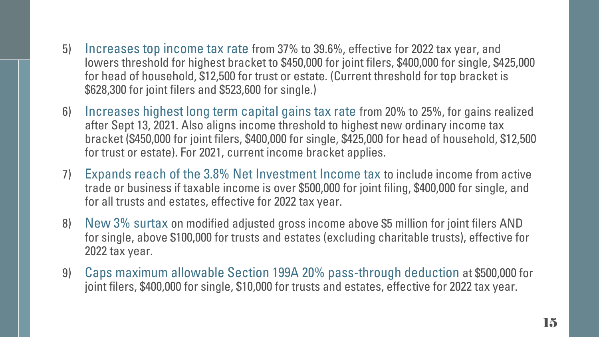- 5) Increases top income tax rate from 37% to 39.6%, effective for 2022 tax year, and lowers threshold for highest bracket to \$450,000 for joint filers, \$400,000 for single, \$425,000 for head of household, \$12,500 for trust or estate. (Current threshold for top bracket is \$628,300 for joint filers and \$523,600 for single.)
- 6) Increases highest long term capital gains tax rate from 20% to 25%, for gains realized after Sept 13, 2021. Also aligns income threshold to highest new ordinary income tax bracket (\$450,000 for joint filers, \$400,000 for single, \$425,000 for head of household, \$12,500 for trust or estate). For 2021, current income bracket applies.
- 7) Expands reach of the 3.8% Net Investment Income tax to include income from active trade or business if taxable income is over \$500,000 for joint filing, \$400,000 for single, and for all trusts and estates, effective for 2022 tax year.
- 8) New 3% surtax on modified adjusted gross income above \$5 million for joint filers AND for single, above \$100,000 for trusts and estates (excluding charitable trusts), effective for 2022 tax year.
- 9) Caps maximum allowable Section 199A 20% pass-through deduction at \$500,000 for joint filers, \$400,000 for single, \$10,000 for trusts and estates, effective for 2022 tax year.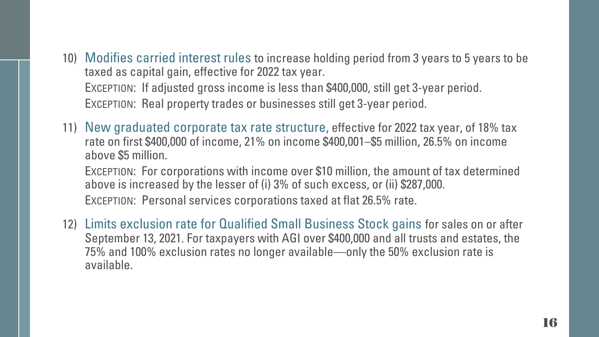10) Modifies carried interest rules to increase holding period from 3 years to 5 years to be taxed as capital gain, effective for 2022 tax year.

EXCEPTION: If adjusted gross income is less than \$400,000, still get 3-year period. EXCEPTION: Real property trades or businesses still get 3-year period.

11) New graduated corporate tax rate structure, effective for 2022 tax year, of 18% tax rate on first \$400,000 of income, 21% on income \$400,001–\$5 million, 26.5% on income above \$5 million.

EXCEPTION: For corporations with income over \$10 million, the amount of tax determined above is increased by the lesser of (i) 3% of such excess, or (ii) \$287,000.

EXCEPTION: Personal services corporations taxed at flat 26.5% rate.

12) Limits exclusion rate for Qualified Small Business Stock gains for sales on or after September 13, 2021. For taxpayers with AGI over \$400,000 and all trusts and estates, the 75% and 100% exclusion rates no longer available—only the 50% exclusion rate is available.